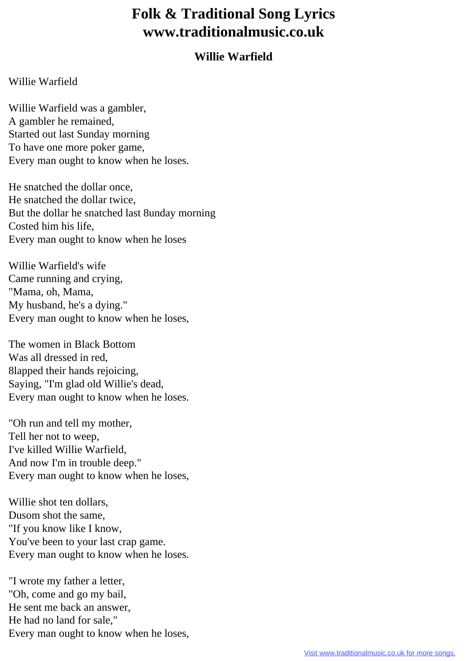## **Folk & Traditional Song Lyrics www.traditionalmusic.co.uk**

## **Willie Warfield**

## Willie Warfield

Willie Warfield was a gambler, A gambler he remained, Started out last Sunday morning To have one more poker game, Every man ought to know when he loses.

He snatched the dollar once, He snatched the dollar twice, But the dollar he snatched last 8unday morning Costed him his life, Every man ought to know when he loses

Willie Warfield's wife Came running and crying, "Mama, oh, Mama, My husband, he's a dying." Every man ought to know when he loses,

The women in Black Bottom Was all dressed in red, 8lapped their hands rejoicing, Saying, "I'm glad old Willie's dead, Every man ought to know when he loses.

"Oh run and tell my mother, Tell her not to weep, I've killed Willie Warfield, And now I'm in trouble deep." Every man ought to know when he loses,

Willie shot ten dollars, Dusom shot the same, "If you know like I know, You've been to your last crap game. Every man ought to know when he loses.

"I wrote my father a letter, "Oh, come and go my bail, He sent me back an answer, He had no land for sale," Every man ought to know when he loses,